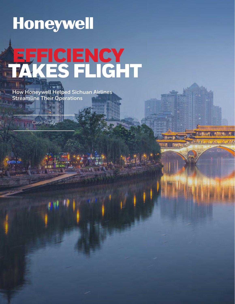# Honeywell **EFFICIENCY** TAKES FLIGHT

**How Honeywell Helped Sichuan Airlines Streamline Their Operations**

Case Study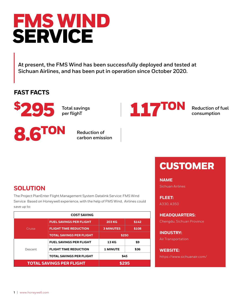## FMS WIND SERVICE

**At present, the FMS Wind has been successfully deployed and tested at Sichuan Airlines, and has been put in operation since October 2020.**

#### **FAST FACTS**



**Total savings per flighT**



**Reduction of fuel consumption**



**Reduction of carbon emission**

### CUSTOMER

**NAME**

Sichuan Airlines

**FLEET:**  A330, A350

**HEADQUARTERS:** 

Chengdu, Sichuan Province

**INDUSTRY:**  Air Transportation

**WEBSITE:** https://www.sichuanair.com/

#### **SOLUTION**

The Project PlanEnter Flight Management System Datalink Service: FMS Wind Service Based on Honeywell experience, with the help of FMS Wind, Airlines could save up to:

| <b>COST SAVING</b>              |                                 |                  |       |
|---------------------------------|---------------------------------|------------------|-------|
| Cruise                          | <b>FUEL SAVINGS PER FLIGHT</b>  | <b>203 KG</b>    | \$142 |
|                                 | <b>FLIGHT TIME REDUCTION</b>    | <b>3 MINUTES</b> | \$108 |
|                                 | <b>TOTAL SAVINGS PER FLIGHT</b> | \$250            |       |
| Descent                         | <b>FUEL SAVINGS PER FLIGHT</b>  | <b>13 KG</b>     | \$9   |
|                                 | <b>FLIGHT TIME REDUCTION</b>    | <b>1 MINUTE</b>  | \$36  |
|                                 | <b>TOTAL SAVINGS PER FLIGHT</b> | \$45             |       |
| <b>TOTAL SAVINGS PER FLIGHT</b> |                                 | \$295            |       |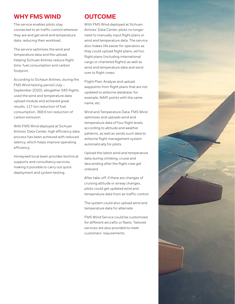#### **WHY FMS WIND**

The service enables pilots stay connected to air traffic control wherever they are and get wind and temperature data, reducing their workload.

The service optimizes the wind and temperature data and the upload, helping Sichuan Airlines reduce flight time, fuel consumption and carbon footprint.

According to Sichaun Airlines, during the FMS Wind testing period (July – September 2020), altogether 585 flights used the wind and temperature data upload module and achieved great results: 117 ton reduction of fuel consumption, 368.6 ton reduction of carbon emission.

With FMS Wind deployed at Sichuan Airlines' Data Center, high efficiency data process has been achieved with reduced latency, which helps improve operating efficiency.

Honeywell local team provides technical supports and consultancy services, making it possible to carry out quick deployment and system testing.

#### **OUTCOME**

With FMS Wind deployed at Sichuan Airlines' Data Center, pilots no longer need to manually input flight plans or wind and temperature data. The service also makes life easier for operators as they could upload flight plans, ad hoc flight plans (including international cargo or chartered flights) as well as wind and temperature data and send over to flight crews.

Flight Plan: Analyze and upload waypoints from flight plans that are not updated to airborne database, for example, NAIP, points with the same name, etc.

Wind and Temperature Data: FMS Wind optimizes and uploads wind and temperature data of four flight levels according to altitude and weather patterns, as well as sends such data to airborne flight management system automatically for pilots.

Upload the latest wind and temperature data during climbing, cruise and descending after the flight crew get onboard

After take-off, if there are changes of cruising altitude or airway changes, pilots could get updated wind and temperature data from air traffic control

The system could also upload wind and temperature data for alternate

FMS Wind Service could be customized for different aircrafts or fleets. Tailored services are also provided to meet customers' requirements.